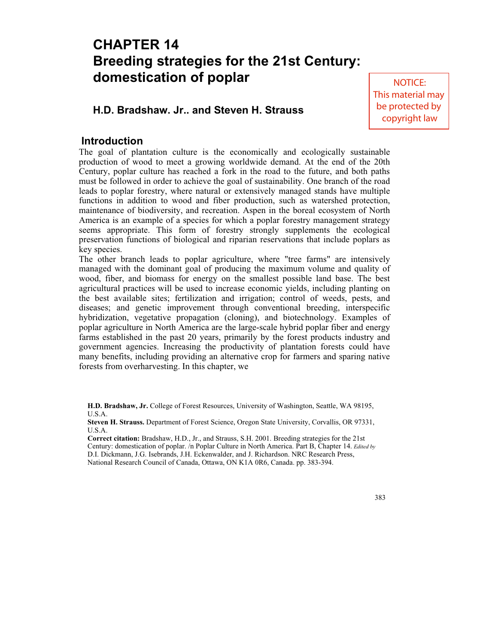# **CHAPTER 14 Breeding strategies for the 21st Century: domestication of poplar**

# **H.D. Bradshaw, Jr., and Steven H. Strauss**

NOTICE: This material may be protected by copyright law

## **Introduction**

The goal of plantation culture is the economically and ecologically sustainable production of wood to meet a growing worldwide demand. At the end of the 20th Century, poplar culture has reached a fork in the road to the future, and both paths must be followed in order to achieve the goal of sustainability. One branch of the road leads to poplar forestry, where natural or extensively managed stands have multiple functions in addition to wood and fiber production, such as watershed protection, maintenance of biodiversity, and recreation. Aspen in the boreal ecosystem of North America is an example of a species for which a poplar forestry management strategy seems appropriate. This form of forestry strongly supplements the ecological preservation functions of biological and riparian reservations that include poplars as key species.

The other branch leads to poplar agriculture, where "tree farms" are intensively managed with the dominant goal of producing the maximum volume and quality of wood, fiber, and biomass for energy on the smallest possible land base. The best agricultural practices will be used to increase economic yields, including planting on the best available sites; fertilization and irrigation; control of weeds, pests, and diseases; and genetic improvement through conventional breeding, interspecific hybridization, vegetative propagation (cloning), and biotechnology. Examples of poplar agriculture in North America are the large-scale hybrid poplar fiber and energy farms established in the past 20 years, primarily by the forest products industry and government agencies. Increasing the productivity of plantation forests could have many benefits, including providing an alternative crop for farmers and sparing native forests from overharvesting. In this chapter, we

**H.D. Bradshaw, Jr.** College of Forest Resources, University of Washington, Seattle, WA 98195, U.S.A.

**Steven H. Strauss.** Department of Forest Science, Oregon State University, Corvallis, OR 97331, U.S.A.

**Correct citation:** Bradshaw, H.D., Jr., and Strauss, S.H. 2001. Breeding strategies for the 21st Century: domestication of poplar. /n Poplar Culture in North America. Part B, Chapter 14. *Edited by* D.I. Dickmann, J.G. Isebrands, J.H. Eckenwalder, and J. Richardson. NRC Research Press, National Research Council of Canada, Ottawa, ON K1A 0R6, Canada. pp. 383-394.

383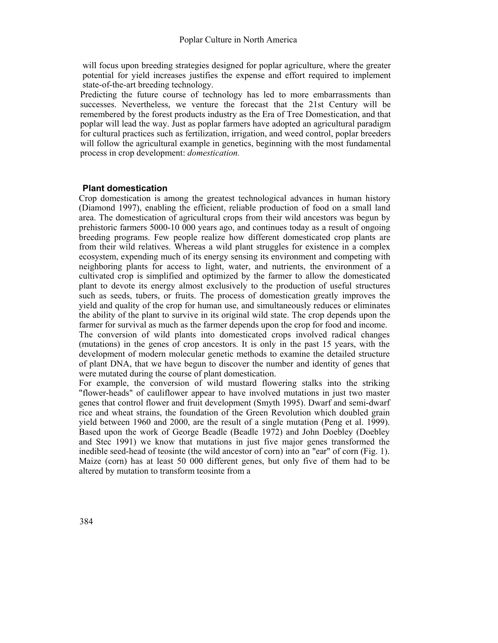will focus upon breeding strategies designed for poplar agriculture, where the greater potential for yield increases justifies the expense and effort required to implement state-of-the-art breeding technology.

Predicting the future course of technology has led to more embarrassments than successes. Nevertheless, we venture the forecast that the 21st Century will be remembered by the forest products industry as the Era of Tree Domestication, and that poplar will lead the way. Just as poplar farmers have adopted an agricultural paradigm for cultural practices such as fertilization, irrigation, and weed control, poplar breeders will follow the agricultural example in genetics, beginning with the most fundamental process in crop development: *domestication.* 

#### **Plant domestication**

Crop domestication is among the greatest technological advances in human history (Diamond 1997), enabling the efficient, reliable production of food on a small land area. The domestication of agricultural crops from their wild ancestors was begun by prehistoric farmers 5000-10 000 years ago, and continues today as a result of ongoing breeding programs. Few people realize how different domesticated crop plants are from their wild relatives. Whereas a wild plant struggles for existence in a complex ecosystem, expending much of its energy sensing its environment and competing with neighboring plants for access to light, water, and nutrients, the environment of a cultivated crop is simplified and optimized by the farmer to allow the domesticated plant to devote its energy almost exclusively to the production of useful structures such as seeds, tubers, or fruits. The process of domestication greatly improves the yield and quality of the crop for human use, and simultaneously reduces or eliminates the ability of the plant to survive in its original wild state. The crop depends upon the farmer for survival as much as the farmer depends upon the crop for food and income. The conversion of wild plants into domesticated crops involved radical changes

(mutations) in the genes of crop ancestors. It is only in the past 15 years, with the development of modern molecular genetic methods to examine the detailed structure of plant DNA, that we have begun to discover the number and identity of genes that were mutated during the course of plant domestication.

For example, the conversion of wild mustard flowering stalks into the striking "flower-heads" of cauliflower appear to have involved mutations in just two master genes that control flower and fruit development (Smyth 1995). Dwarf and semi-dwarf rice and wheat strains, the foundation of the Green Revolution which doubled grain yield between 1960 and 2000, are the result of a single mutation (Peng et al. 1999). Based upon the work of George Beadle (Beadle 1972) and John Doebley (Doebley and Stec 1991) we know that mutations in just five major genes transformed the inedible seed-head of teosinte (the wild ancestor of corn) into an "ear" of corn (Fig. 1). Maize (corn) has at least 50 000 different genes, but only five of them had to be altered by mutation to transform teosinte from a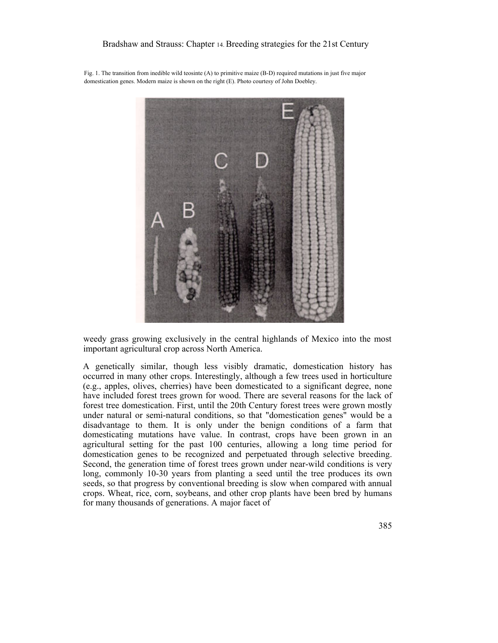#### Bradshaw and Strauss: Chapter 14. Breeding strategies for the 21st Century

Fig. 1. The transition from inedible wild teosinte (A) to primitive maize (B-D) required mutations in just five major domestication genes. Modern maize is shown on the right (E). Photo courtesy of John Doebley.



weedy grass growing exclusively in the central highlands of Mexico into the most important agricultural crop across North America.

A genetically similar, though less visibly dramatic, domestication history has occurred in many other crops. Interestingly, although a few trees used in horticulture (e.g., apples, olives, cherries) have been domesticated to a significant degree, none have included forest trees grown for wood. There are several reasons for the lack of forest tree domestication. First, until the 20th Century forest trees were grown mostly under natural or semi-natural conditions, so that "domestication genes" would be a disadvantage to them. It is only under the benign conditions of a farm that domesticating mutations have value. In contrast, crops have been grown in an agricultural setting for the past 100 centuries, allowing a long time period for domestication genes to be recognized and perpetuated through selective breeding. Second, the generation time of forest trees grown under near-wild conditions is very long, commonly 10-30 years from planting a seed until the tree produces its own seeds, so that progress by conventional breeding is slow when compared with annual crops. Wheat, rice, corn, soybeans, and other crop plants have been bred by humans for many thousands of generations. A major facet of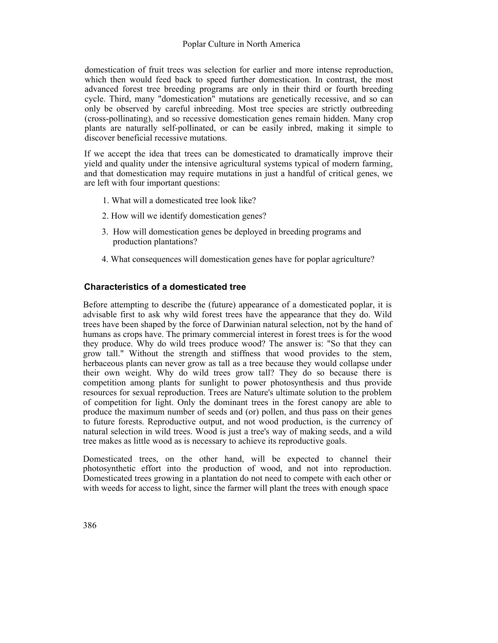### Poplar Culture in North America

domestication of fruit trees was selection for earlier and more intense reproduction, which then would feed back to speed further domestication. In contrast, the most advanced forest tree breeding programs are only in their third or fourth breeding cycle. Third, many "domestication" mutations are genetically recessive, and so can only be observed by careful inbreeding. Most tree species are strictly outbreeding (cross-pollinating), and so recessive domestication genes remain hidden. Many crop plants are naturally self-pollinated, or can be easily inbred, making it simple to discover beneficial recessive mutations.

If we accept the idea that trees can be domesticated to dramatically improve their yield and quality under the intensive agricultural systems typical of modern farming, and that domestication may require mutations in just a handful of critical genes, we are left with four important questions:

- 1. What will a domesticated tree look like?
- 2. How will we identify domestication genes?
- 3. How will domestication genes be deployed in breeding programs and production plantations?
- 4. What consequences will domestication genes have for poplar agriculture?

## **Characteristics of a domesticated tree**

Before attempting to describe the (future) appearance of a domesticated poplar, it is advisable first to ask why wild forest trees have the appearance that they do. Wild trees have been shaped by the force of Darwinian natural selection, not by the hand of humans as crops have. The primary commercial interest in forest trees is for the wood they produce. Why do wild trees produce wood? The answer is: "So that they can grow tall." Without the strength and stiffness that wood provides to the stem, herbaceous plants can never grow as tall as a tree because they would collapse under their own weight. Why do wild trees grow tall? They do so because there is competition among plants for sunlight to power photosynthesis and thus provide resources for sexual reproduction. Trees are Nature's ultimate solution to the problem of competition for light. Only the dominant trees in the forest canopy are able to produce the maximum number of seeds and (or) pollen, and thus pass on their genes to future forests. Reproductive output, and not wood production, is the currency of natural selection in wild trees. Wood is just a tree's way of making seeds, and a wild tree makes as little wood as is necessary to achieve its reproductive goals.

Domesticated trees, on the other hand, will be expected to channel their photosynthetic effort into the production of wood, and not into reproduction. Domesticated trees growing in a plantation do not need to compete with each other or with weeds for access to light, since the farmer will plant the trees with enough space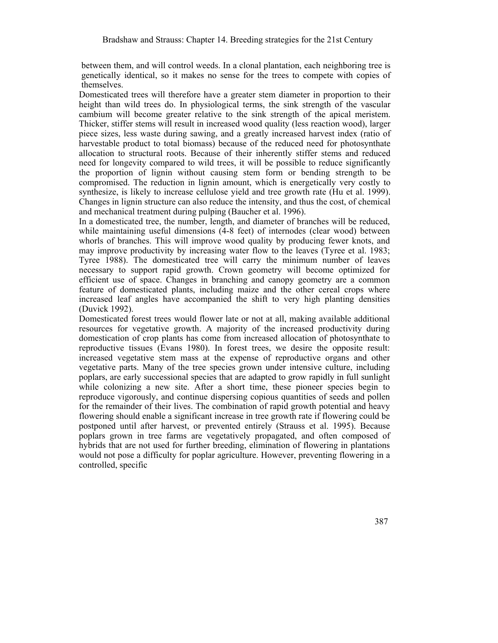between them, and will control weeds. In a clonal plantation, each neighboring tree is genetically identical, so it makes no sense for the trees to compete with copies of themselves.

Domesticated trees will therefore have a greater stem diameter in proportion to their height than wild trees do. In physiological terms, the sink strength of the vascular cambium will become greater relative to the sink strength of the apical meristem. Thicker, stiffer stems will result in increased wood quality (less reaction wood), larger piece sizes, less waste during sawing, and a greatly increased harvest index (ratio of harvestable product to total biomass) because of the reduced need for photosynthate allocation to structural roots. Because of their inherently stiffer stems and reduced need for longevity compared to wild trees, it will be possible to reduce significantly the proportion of lignin without causing stem form or bending strength to be compromised. The reduction in lignin amount, which is energetically very costly to synthesize, is likely to increase cellulose yield and tree growth rate (Hu et al. 1999). Changes in lignin structure can also reduce the intensity, and thus the cost, of chemical and mechanical treatment during pulping (Baucher et al. 1996).

In a domesticated tree, the number, length, and diameter of branches will be reduced, while maintaining useful dimensions (4-8 feet) of internodes (clear wood) between whorls of branches. This will improve wood quality by producing fewer knots, and may improve productivity by increasing water flow to the leaves (Tyree et al. 1983; Tyree 1988). The domesticated tree will carry the minimum number of leaves necessary to support rapid growth. Crown geometry will become optimized for efficient use of space. Changes in branching and canopy geometry are a common feature of domesticated plants, including maize and the other cereal crops where increased leaf angles have accompanied the shift to very high planting densities (Duvick 1992).

Domesticated forest trees would flower late or not at all, making available additional resources for vegetative growth. A majority of the increased productivity during domestication of crop plants has come from increased allocation of photosynthate to reproductive tissues (Evans 1980). In forest trees, we desire the opposite result: increased vegetative stem mass at the expense of reproductive organs and other vegetative parts. Many of the tree species grown under intensive culture, including poplars, are early successional species that are adapted to grow rapidly in full sunlight while colonizing a new site. After a short time, these pioneer species begin to reproduce vigorously, and continue dispersing copious quantities of seeds and pollen for the remainder of their lives. The combination of rapid growth potential and heavy flowering should enable a significant increase in tree growth rate if flowering could be postponed until after harvest, or prevented entirely (Strauss et al. 1995). Because poplars grown in tree farms are vegetatively propagated, and often composed of hybrids that are not used for further breeding, elimination of flowering in plantations would not pose a difficulty for poplar agriculture. However, preventing flowering in a controlled, specific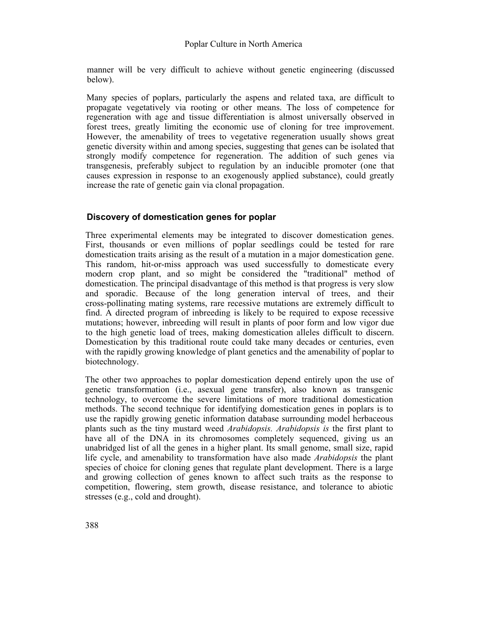manner will be very difficult to achieve without genetic engineering (discussed below).

Many species of poplars, particularly the aspens and related taxa, are difficult to propagate vegetatively via rooting or other means. The loss of competence for regeneration with age and tissue differentiation is almost universally observed in forest trees, greatly limiting the economic use of cloning for tree improvement. However, the amenability of trees to vegetative regeneration usually shows great genetic diversity within and among species, suggesting that genes can be isolated that strongly modify competence for regeneration. The addition of such genes via transgenesis, preferably subject to regulation by an inducible promoter (one that causes expression in response to an exogenously applied substance), could greatly increase the rate of genetic gain via clonal propagation.

## **Discovery of domestication genes for poplar**

Three experimental elements may be integrated to discover domestication genes. First, thousands or even millions of poplar seedlings could be tested for rare domestication traits arising as the result of a mutation in a major domestication gene. This random, hit-or-miss approach was used successfully to domesticate every modern crop plant, and so might be considered the "traditional" method of domestication. The principal disadvantage of this method is that progress is very slow and sporadic. Because of the long generation interval of trees, and their cross-pollinating mating systems, rare recessive mutations are extremely difficult to find. A directed program of inbreeding is likely to be required to expose recessive mutations; however, inbreeding will result in plants of poor form and low vigor due to the high genetic load of trees, making domestication alleles difficult to discern. Domestication by this traditional route could take many decades or centuries, even with the rapidly growing knowledge of plant genetics and the amenability of poplar to biotechnology.

The other two approaches to poplar domestication depend entirely upon the use of genetic transformation (i.e., asexual gene transfer), also known as transgenic technology, to overcome the severe limitations of more traditional domestication methods. The second technique for identifying domestication genes in poplars is to use the rapidly growing genetic information database surrounding model herbaceous plants such as the tiny mustard weed *Arabidopsis. Arabidopsis is* the first plant to have all of the DNA in its chromosomes completely sequenced, giving us an unabridged list of all the genes in a higher plant. Its small genome, small size, rapid life cycle, and amenability to transformation have also made *Arabidopsis* the plant species of choice for cloning genes that regulate plant development. There is a large and growing collection of genes known to affect such traits as the response to competition, flowering, stem growth, disease resistance, and tolerance to abiotic stresses (e.g., cold and drought).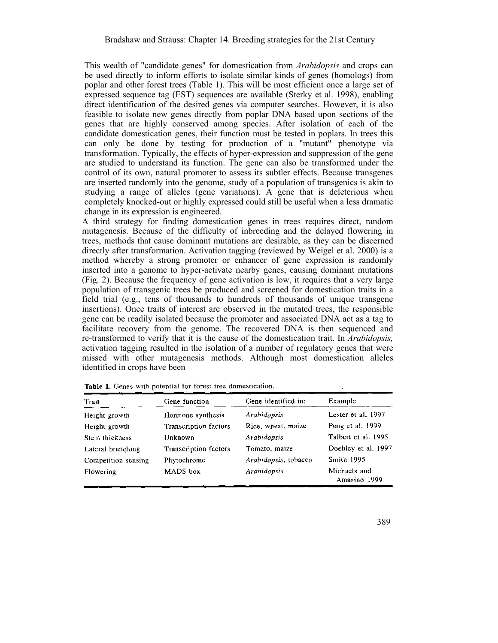This wealth of "candidate genes" for domestication from *Arabidopsis* and crops can be used directly to inform efforts to isolate similar kinds of genes (homologs) from poplar and other forest trees (Table 1). This will be most efficient once a large set of expressed sequence tag (EST) sequences are available (Sterky et al. 1998), enabling direct identification of the desired genes via computer searches. However, it is also feasible to isolate new genes directly from poplar DNA based upon sections of the genes that are highly conserved among species. After isolation of each of the candidate domestication genes, their function must be tested in poplars. In trees this can only be done by testing for production of a "mutant" phenotype via transformation. Typically, the effects of hyper-expression and suppression of the gene are studied to understand its function. The gene can also be transformed under the control of its own, natural promoter to assess its subtler effects. Because transgenes are inserted randomly into the genome, study of a population of transgenics is akin to studying a range of alleles (gene variations). A gene that is deleterious when completely knocked-out or highly expressed could still be useful when a less dramatic change in its expression is engineered.

A third strategy for finding domestication genes in trees requires direct, random mutagenesis. Because of the difficulty of inbreeding and the delayed flowering in trees, methods that cause dominant mutations are desirable, as they can be discerned directly after transformation. Activation tagging (reviewed by Weigel et al. 2000) is a method whereby a strong promoter or enhancer of gene expression is randomly inserted into a genome to hyper-activate nearby genes, causing dominant mutations (Fig. 2). Because the frequency of gene activation is low, it requires that a very large population of transgenic trees be produced and screened for domestication traits in a field trial (e.g., tens of thousands to hundreds of thousands of unique transgene insertions). Once traits of interest are observed in the mutated trees, the responsible gene can be readily isolated because the promoter and associated DNA act as a tag to facilitate recovery from the genome. The recovered DNA is then sequenced and re-transformed to verify that it is the cause of the domestication trait. In *Arabidopsis,*  activation tagging resulted in the isolation of a number of regulatory genes that were missed with other mutagenesis methods. Although most domestication alleles identified in crops have been

| Trait               | Gene function                | Gene identified in:  | Example                      |
|---------------------|------------------------------|----------------------|------------------------------|
| Height growth       | Hormone synthesis            | Arabidopsis          | Lester et al. 1997           |
| Height growth       | <b>Transcription factors</b> | Rice, wheat, maize   | Peng et al. 1999             |
| Stem thickness      | Unknown                      | Arabidopsis          | Talbert et al. 1995          |
| Lateral branching   | Transcription factors        | Tomato, maize        | Doebley et al. 1997          |
| Competition sensing | Phytochrome                  | Arabidopsis, tobacco | <b>Smith 1995</b>            |
| Flowering           | MADS box                     | Arabidopsis          | Michaels and<br>Amasino 1999 |

Table 1. Genes with potential for forest tree domestication.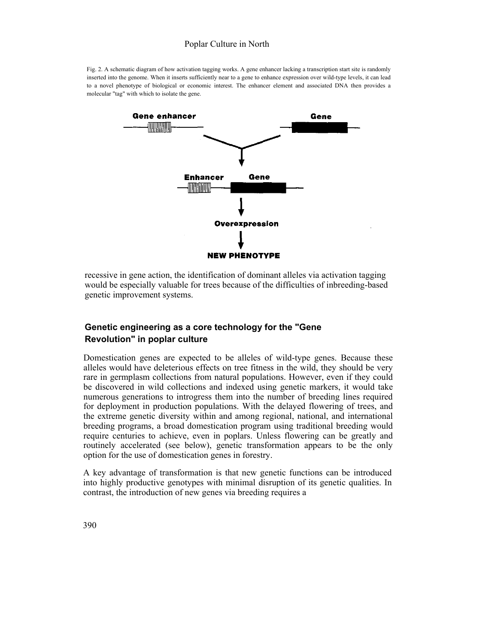#### Poplar Culture in North

Fig. 2. A schematic diagram of how activation tagging works. A gene enhancer lacking a transcription start site is randomly inserted into the genome. When it inserts sufficiently near to a gene to enhance expression over wild-type levels, it can lead to a novel phenotype of biological or economic interest. The enhancer element and associated DNA then provides a molecular "tag" with which to isolate the gene.



recessive in gene action, the identification of dominant alleles via activation tagging would be especially valuable for trees because of the difficulties of inbreeding-based genetic improvement systems.

# **Genetic engineering as a core technology for the "Gene Revolution" in poplar culture**

Domestication genes are expected to be alleles of wild-type genes. Because these alleles would have deleterious effects on tree fitness in the wild, they should be very rare in germplasm collections from natural populations. However, even if they could be discovered in wild collections and indexed using genetic markers, it would take numerous generations to introgress them into the number of breeding lines required for deployment in production populations. With the delayed flowering of trees, and the extreme genetic diversity within and among regional, national, and international breeding programs, a broad domestication program using traditional breeding would require centuries to achieve, even in poplars. Unless flowering can be greatly and routinely accelerated (see below), genetic transformation appears to be the only option for the use of domestication genes in forestry.

A key advantage of transformation is that new genetic functions can be introduced into highly productive genotypes with minimal disruption of its genetic qualities. In contrast, the introduction of new genes via breeding requires a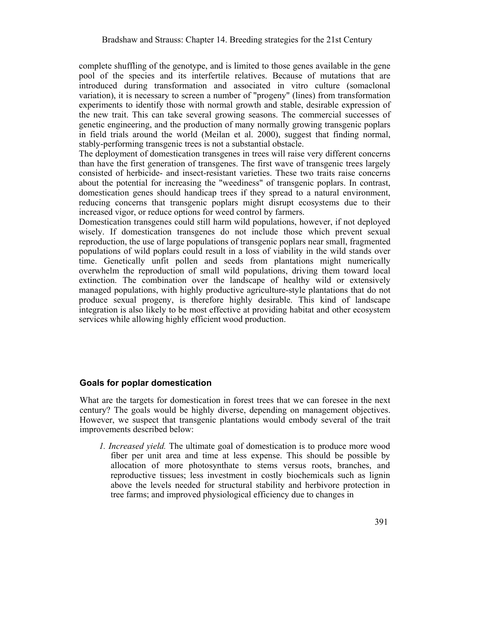complete shuffling of the genotype, and is limited to those genes available in the gene pool of the species and its interfertile relatives. Because of mutations that are introduced during transformation and associated in vitro culture (somaclonal variation), it is necessary to screen a number of "progeny" (lines) from transformation experiments to identify those with normal growth and stable, desirable expression of the new trait. This can take several growing seasons. The commercial successes of genetic engineering, and the production of many normally growing transgenic poplars in field trials around the world (Meilan et al. 2000), suggest that finding normal, stably-performing transgenic trees is not a substantial obstacle.

The deployment of domestication transgenes in trees will raise very different concerns than have the first generation of transgenes. The first wave of transgenic trees largely consisted of herbicide- and insect-resistant varieties. These two traits raise concerns about the potential for increasing the "weediness" of transgenic poplars. In contrast, domestication genes should handicap trees if they spread to a natural environment, reducing concerns that transgenic poplars might disrupt ecosystems due to their increased vigor, or reduce options for weed control by farmers.

Domestication transgenes could still harm wild populations, however, if not deployed wisely. If domestication transgenes do not include those which prevent sexual reproduction, the use of large populations of transgenic poplars near small, fragmented populations of wild poplars could result in a loss of viability in the wild stands over time. Genetically unfit pollen and seeds from plantations might numerically overwhelm the reproduction of small wild populations, driving them toward local extinction. The combination over the landscape of healthy wild or extensively managed populations, with highly productive agriculture-style plantations that do not produce sexual progeny, is therefore highly desirable. This kind of landscape integration is also likely to be most effective at providing habitat and other ecosystem services while allowing highly efficient wood production.

#### **Goals for poplar domestication**

What are the targets for domestication in forest trees that we can foresee in the next century? The goals would be highly diverse, depending on management objectives. However, we suspect that transgenic plantations would embody several of the trait improvements described below:

*1. Increased yield.* The ultimate goal of domestication is to produce more wood fiber per unit area and time at less expense. This should be possible by allocation of more photosynthate to stems versus roots, branches, and reproductive tissues; less investment in costly biochemicals such as lignin above the levels needed for structural stability and herbivore protection in tree farms; and improved physiological efficiency due to changes in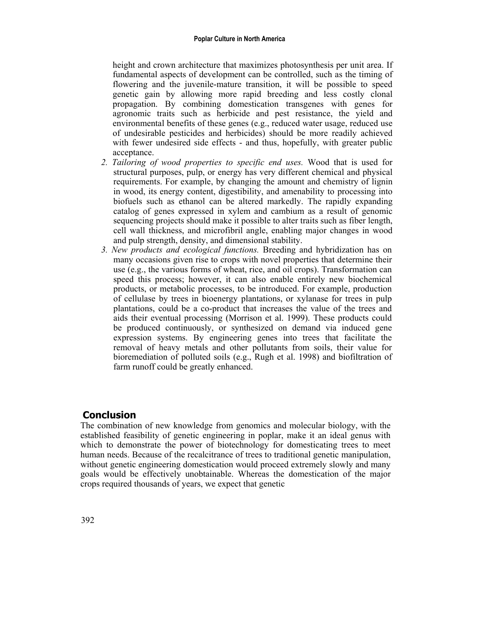height and crown architecture that maximizes photosynthesis per unit area. If fundamental aspects of development can be controlled, such as the timing of flowering and the juvenile-mature transition, it will be possible to speed genetic gain by allowing more rapid breeding and less costly clonal propagation. By combining domestication transgenes with genes for agronomic traits such as herbicide and pest resistance, the yield and environmental benefits of these genes (e.g., reduced water usage, reduced use of undesirable pesticides and herbicides) should be more readily achieved with fewer undesired side effects - and thus, hopefully, with greater public acceptance.

- *2. Tailoring of wood properties to specific end uses.* Wood that is used for structural purposes, pulp, or energy has very different chemical and physical requirements. For example, by changing the amount and chemistry of lignin in wood, its energy content, digestibility, and amenability to processing into biofuels such as ethanol can be altered markedly. The rapidly expanding catalog of genes expressed in xylem and cambium as a result of genomic sequencing projects should make it possible to alter traits such as fiber length, cell wall thickness, and microfibril angle, enabling major changes in wood and pulp strength, density, and dimensional stability.
- *3. New products and ecological functions.* Breeding and hybridization has on many occasions given rise to crops with novel properties that determine their use (e.g., the various forms of wheat, rice, and oil crops). Transformation can speed this process; however, it can also enable entirely new biochemical products, or metabolic processes, to be introduced. For example, production of cellulase by trees in bioenergy plantations, or xylanase for trees in pulp plantations, could be a co-product that increases the value of the trees and aids their eventual processing (Morrison et al. 1999). These products could be produced continuously, or synthesized on demand via induced gene expression systems. By engineering genes into trees that facilitate the removal of heavy metals and other pollutants from soils, their value for bioremediation of polluted soils (e.g., Rugh et al. 1998) and biofiltration of farm runoff could be greatly enhanced.

## **Conclusion**

The combination of new knowledge from genomics and molecular biology, with the established feasibility of genetic engineering in poplar, make it an ideal genus with which to demonstrate the power of biotechnology for domesticating trees to meet human needs. Because of the recalcitrance of trees to traditional genetic manipulation, without genetic engineering domestication would proceed extremely slowly and many goals would be effectively unobtainable. Whereas the domestication of the major crops required thousands of years, we expect that genetic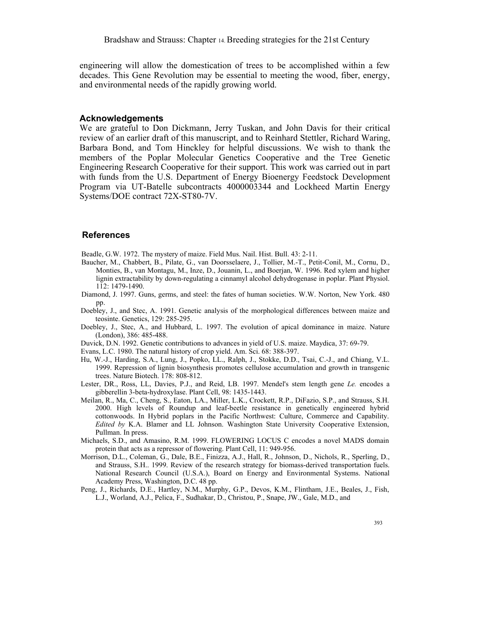engineering will allow the domestication of trees to be accomplished within a few decades. This Gene Revolution may be essential to meeting the wood, fiber, energy, and environmental needs of the rapidly growing world.

#### **Acknowledgements**

We are grateful to Don Dickmann, Jerry Tuskan, and John Davis for their critical review of an earlier draft of this manuscript, and to Reinhard Stettler, Richard Waring, Barbara Bond, and Tom Hinckley for helpful discussions. We wish to thank the members of the Poplar Molecular Genetics Cooperative and the Tree Genetic Engineering Research Cooperative for their support. This work was carried out in part with funds from the U.S. Department of Energy Bioenergy Feedstock Development Program via UT-Batelle subcontracts 4000003344 and Lockheed Martin Energy Systems/DOE contract 72X-ST80-7V.

#### **References**

Beadle, G.W. 1972. The mystery of maize. Field Mus. Nail. Hist. Bull. 43: 2-11.

- Baucher, M., Chabbert, B., Pilate, G., van Doorsselaere, J., Tollier, M.-T., Petit-Conil, M., Cornu, D., Monties, B., van Montagu, M., Inze, D., Jouanin, L., and Boerjan, W. 1996. Red xylem and higher lignin extractability by down-regulating a cinnamyl alcohol dehydrogenase in poplar. Plant Physiol. 112: 1479-1490.
- Diamond, J. 1997. Guns, germs, and steel: the fates of human societies. W.W. Norton, New York. 480 pp.
- Doebley, J., and Stec, A. 1991. Genetic analysis of the morphological differences between maize and teosinte. Genetics, 129: 285-295.
- Doebley, J., Stec, A., and Hubbard, L. 1997. The evolution of apical dominance in maize. Nature (London), 386: 485-488.

Duvick, D.N. 1992. Genetic contributions to advances in yield of U.S. maize. Maydica, 37: 69-79.

Evans, L.C. 1980. The natural history of crop yield. Am. Sci. 68: 388-397.

- Hu, W.-J., Harding, S.A., Lung, J., Popko, LL., Ralph, J., Stokke, D.D., Tsai, C.-J., and Chiang, V.L. 1999. Repression of lignin biosynthesis promotes cellulose accumulation and growth in transgenic trees. Nature Biotech. 178: 808-812.
- Lester, DR., Ross, LL, Davies, P.J., and Reid, LB. 1997. Mendel's stem length gene *Le.* encodes a gibberellin 3-beta-hydroxylase. Plant Cell, 98: 1435-1443.
- Meilan, R., Ma, C., Cheng, S., Eaton, LA., Miller, L.K., Crockett, R.P., DiFazio, S.P., and Strauss, S.H. 2000. High levels of Roundup and leaf-beetle resistance in genetically engineered hybrid cottonwoods. In Hybrid poplars in the Pacific Northwest: Culture, Commerce and Capability. *Edited by* K.A. Blamer and LL Johnson. Washington State University Cooperative Extension, Pullman. In press.
- Michaels, S.D., and Amasino, R.M. 1999. FLOWERING LOCUS C encodes a novel MADS domain protein that acts as a repressor of flowering. Plant Cell, 11: 949-956.
- Morrison, D.L., Coleman, G., Dale, B.E., Finizza, A.J., Hall, R., Johnson, D., Nichols, R., Sperling, D., and Strauss, S.H.. 1999. Review of the research strategy for biomass-derived transportation fuels. National Research Council (U.S.A.), Board on Energy and Environmental Systems. National Academy Press, Washington, D.C. 48 pp.
- Peng, J., Richards, D.E., Hartley, N.M., Murphy, G.P., Devos, K.M., Flintham, J.E., Beales, J., Fish, L.J., Worland, A.J., Pelica, F., Sudhakar, D., Christou, P., Snape, JW., Gale, M.D., and